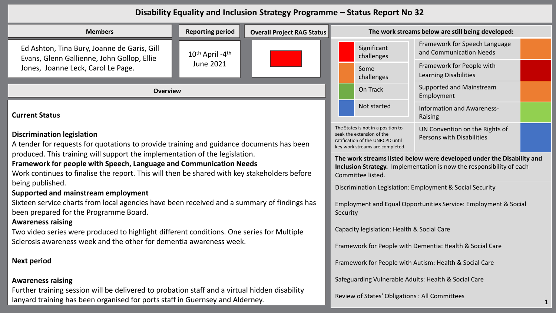## **Disability Equality and Inclusion Strategy Programme – Status Report No 32**

| <b>Members</b>                                                                                                                                                                                                                                    | <b>Reporting period</b>                                                                                                                                            | <b>Overall Project RAG Status</b>                                                                                                                                                                     |                                                          | The work streams below are still being developed:         |                                        |  |
|---------------------------------------------------------------------------------------------------------------------------------------------------------------------------------------------------------------------------------------------------|--------------------------------------------------------------------------------------------------------------------------------------------------------------------|-------------------------------------------------------------------------------------------------------------------------------------------------------------------------------------------------------|----------------------------------------------------------|-----------------------------------------------------------|----------------------------------------|--|
| Ed Ashton, Tina Bury, Joanne de Garis, Gill<br>Evans, Glenn Gallienne, John Gollop, Ellie                                                                                                                                                         | $10^{th}$ April -4 <sup>th</sup><br><b>June 2021</b>                                                                                                               |                                                                                                                                                                                                       | Significant<br>challenges                                | Framework for Speech Language<br>and Communication Needs  |                                        |  |
| Jones, Joanne Leck, Carol Le Page.                                                                                                                                                                                                                |                                                                                                                                                                    |                                                                                                                                                                                                       | Some<br>challenges                                       | Framework for People with<br><b>Learning Disabilities</b> |                                        |  |
| <b>Overview</b>                                                                                                                                                                                                                                   |                                                                                                                                                                    |                                                                                                                                                                                                       |                                                          | On Track                                                  | Supported and Mainstream<br>Employment |  |
| <b>Current Status</b>                                                                                                                                                                                                                             |                                                                                                                                                                    | Not started                                                                                                                                                                                           | <b>Information and Awareness-</b><br>Raising             |                                                           |                                        |  |
| <b>Discrimination legislation</b><br>A tender for requests for quotations to provide training and guidance documents has been                                                                                                                     |                                                                                                                                                                    | The States is not in a position to<br>UN Convention on the Rights of<br>seek the extension of the<br>Persons with Disabilities<br>ratification of the UNRCPD until<br>key work streams are completed. |                                                          |                                                           |                                        |  |
| produced. This training will support the implementation of the legislation.<br>Framework for people with Speech, Language and Communication Needs<br>Work continues to finalise the report. This will then be shared with key stakeholders before | The work streams listed below were developed under the Disability and<br>Inclusion Strategy. Implementation is now the responsibility of each<br>Committee listed. |                                                                                                                                                                                                       |                                                          |                                                           |                                        |  |
| being published.<br>Supported and mainstream employment                                                                                                                                                                                           |                                                                                                                                                                    |                                                                                                                                                                                                       | Discrimination Legislation: Employment & Social Security |                                                           |                                        |  |
| Sixteen service charts from local agencies have been received and a summary of findings has<br>been prepared for the Programme Board.<br><b>Awareness raising</b>                                                                                 | Employment and Equal Opportunities Service: Employment & Social<br>Security                                                                                        |                                                                                                                                                                                                       |                                                          |                                                           |                                        |  |
| Two video series were produced to highlight different conditions. One series for Multiple<br>Sclerosis awareness week and the other for dementia awareness week.                                                                                  |                                                                                                                                                                    |                                                                                                                                                                                                       |                                                          | Capacity legislation: Health & Social Care                |                                        |  |
|                                                                                                                                                                                                                                                   |                                                                                                                                                                    |                                                                                                                                                                                                       |                                                          | Framework for People with Dementia: Health & Social Care  |                                        |  |
| <b>Next period</b>                                                                                                                                                                                                                                |                                                                                                                                                                    |                                                                                                                                                                                                       | Framework for People with Autism: Health & Social Care   |                                                           |                                        |  |
| <b>Awareness raising</b>                                                                                                                                                                                                                          |                                                                                                                                                                    |                                                                                                                                                                                                       | Safeguarding Vulnerable Adults: Health & Social Care     |                                                           |                                        |  |

## **Awareness raising**

Further training session will be delivered to probation staff and a virtual hidden disability lanyard training has been organised for ports staff in Guernsey and Alderney.

Review of States' Obligations : All Committees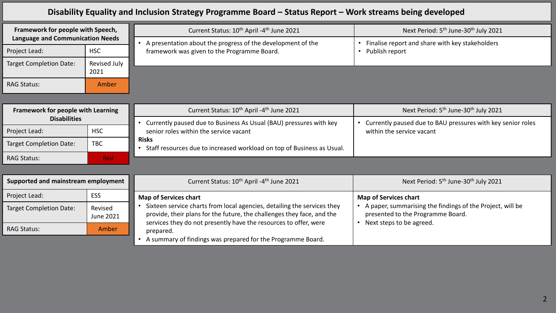## **Disability Equality and Inclusion Strategy Programme Board – Status Report – Work streams being developed**

| Framework for people with Speech,<br><b>Language and Communication Needs</b><br><b>HSC</b><br>Project Lead: |                      | Current Status: 10 <sup>th</sup> April -4 <sup>th</sup> June 2021                                          | Next Period: 5 <sup>th</sup> June-30 <sup>th</sup> July 2021      |
|-------------------------------------------------------------------------------------------------------------|----------------------|------------------------------------------------------------------------------------------------------------|-------------------------------------------------------------------|
|                                                                                                             |                      | A presentation about the progress of the development of the<br>framework was given to the Programme Board. | Finalise report and share with key stakeholders<br>Publish report |
| <b>Target Completion Date:</b>                                                                              | Revised July<br>2021 |                                                                                                            |                                                                   |
| <b>RAG Status:</b>                                                                                          | <b>Amber</b>         |                                                                                                            |                                                                   |

| <b>Framework for people with Learning</b><br><b>Disabilities</b> |            | Current Status: 10 <sup>th</sup> April -4 <sup>th</sup> June 2021                      | Next Period: 5 <sup>th</sup> June-30 <sup>th</sup> July 2021 |
|------------------------------------------------------------------|------------|----------------------------------------------------------------------------------------|--------------------------------------------------------------|
|                                                                  |            | Currently paused due to Business As Usual (BAU) pressures with key                     | Currently paused due to BAU pressures with key senior roles  |
| Project Lead:                                                    | <b>HSC</b> | senior roles within the service vacant                                                 | within the service vacant                                    |
| <b>Target Completion Date:</b>                                   | TBC        | <b>Risks</b><br>Staff resources due to increased workload on top of Business as Usual. |                                                              |
| <b>RAG Status:</b>                                               | <b>Red</b> |                                                                                        |                                                              |

| Supported and mainstream employment |                      | Current Status: 10 <sup>th</sup> April -4 <sup>th</sup> June 2021                                                                                                                                                                  | Next Period: 5 <sup>th</sup> June-30 <sup>th</sup> July 2021                                   |
|-------------------------------------|----------------------|------------------------------------------------------------------------------------------------------------------------------------------------------------------------------------------------------------------------------------|------------------------------------------------------------------------------------------------|
| Project Lead:                       | ESS                  | <b>Map of Services chart</b>                                                                                                                                                                                                       | <b>Map of Services chart</b>                                                                   |
| <b>Target Completion Date:</b>      | Revised<br>June 2021 | Sixteen service charts from local agencies, detailing the services they<br>provide, their plans for the future, the challenges they face, and the<br>services they do not presently have the resources to offer, were<br>prepared. | A paper, summarising the findings of the Project, will be<br>presented to the Programme Board. |
| <b>RAG Status:</b>                  | Amber                |                                                                                                                                                                                                                                    | Next steps to be agreed.                                                                       |
|                                     |                      | A summary of findings was prepared for the Programme Board.                                                                                                                                                                        |                                                                                                |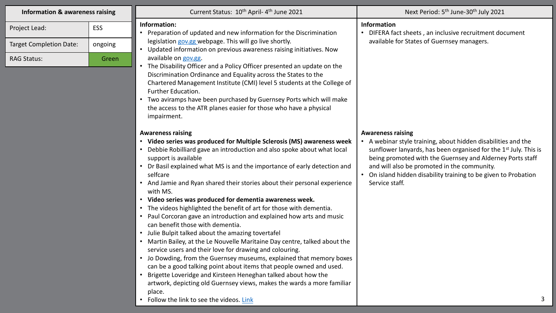| <b>Information &amp; awareness raising</b> |            | Current Status: 10 <sup>th</sup> April-4 <sup>th</sup> June 2021                                                                                                                                                                                                                                                                                                                                                                                                                                                                                                                                                                                                                                                                                                                                                                                                                                                                                                                                                                                                                                                                         | Next Period: 5 <sup>th</sup> June-30 <sup>th</sup> July 2021                                                                                                                                                                                                                                                                                                               |
|--------------------------------------------|------------|------------------------------------------------------------------------------------------------------------------------------------------------------------------------------------------------------------------------------------------------------------------------------------------------------------------------------------------------------------------------------------------------------------------------------------------------------------------------------------------------------------------------------------------------------------------------------------------------------------------------------------------------------------------------------------------------------------------------------------------------------------------------------------------------------------------------------------------------------------------------------------------------------------------------------------------------------------------------------------------------------------------------------------------------------------------------------------------------------------------------------------------|----------------------------------------------------------------------------------------------------------------------------------------------------------------------------------------------------------------------------------------------------------------------------------------------------------------------------------------------------------------------------|
| Project Lead:                              | <b>ESS</b> | Information:<br>• Preparation of updated and new information for the Discrimination                                                                                                                                                                                                                                                                                                                                                                                                                                                                                                                                                                                                                                                                                                                                                                                                                                                                                                                                                                                                                                                      | Information<br>• DIFERA fact sheets, an inclusive recruitment document                                                                                                                                                                                                                                                                                                     |
| <b>Target Completion Date:</b>             | ongoing    | legislation gov.gg webpage. This will go live shortly.<br>Updated information on previous awareness raising initiatives. Now                                                                                                                                                                                                                                                                                                                                                                                                                                                                                                                                                                                                                                                                                                                                                                                                                                                                                                                                                                                                             | available for States of Guernsey managers.                                                                                                                                                                                                                                                                                                                                 |
| <b>RAG Status:</b>                         | Green      | available on gov.gg.<br>The Disability Officer and a Policy Officer presented an update on the<br>Discrimination Ordinance and Equality across the States to the<br>Chartered Management Institute (CMI) level 5 students at the College of<br>Further Education.<br>Two aviramps have been purchased by Guernsey Ports which will make<br>the access to the ATR planes easier for those who have a physical<br>impairment.                                                                                                                                                                                                                                                                                                                                                                                                                                                                                                                                                                                                                                                                                                              |                                                                                                                                                                                                                                                                                                                                                                            |
|                                            |            | <b>Awareness raising</b><br>• Video series was produced for Multiple Sclerosis (MS) awareness week<br>Debbie Robilliard gave an introduction and also spoke about what local<br>support is available<br>• Dr Basil explained what MS is and the importance of early detection and<br>selfcare<br>• And Jamie and Ryan shared their stories about their personal experience<br>with MS.<br>• Video series was produced for dementia awareness week.<br>• The videos highlighted the benefit of art for those with dementia.<br>Paul Corcoran gave an introduction and explained how arts and music<br>can benefit those with dementia.<br>• Julie Bulpit talked about the amazing tovertafel<br>• Martin Bailey, at the Le Nouvelle Maritaine Day centre, talked about the<br>service users and their love for drawing and colouring.<br>• Jo Dowding, from the Guernsey museums, explained that memory boxes<br>can be a good talking point about items that people owned and used.<br>Brigette Loveridge and Kirsteen Heneghan talked about how the<br>artwork, depicting old Guernsey views, makes the wards a more familiar<br>place. | <b>Awareness raising</b><br>• A webinar style training, about hidden disabilities and the<br>sunflower lanyards, has been organised for the 1 <sup>st</sup> July. This is<br>being promoted with the Guernsey and Alderney Ports staff<br>and will also be promoted in the community.<br>• On island hidden disability training to be given to Probation<br>Service staff. |

• Follow the link to see the videos. [Link](https://www.gov.gg/equality/awarenessraisinginitiatives)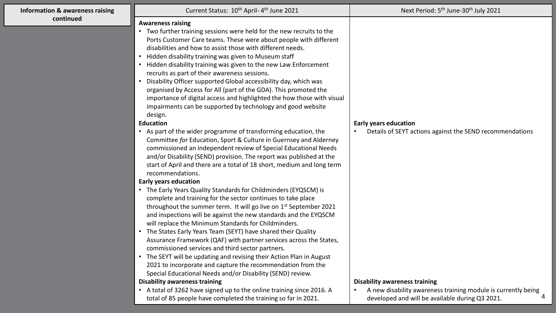| <b>Information &amp; awareness raising</b> | Current Status: 10 <sup>th</sup> April-4 <sup>th</sup> June 2021                                                                     | Next Period: 5 <sup>th</sup> June-30 <sup>th</sup> July 2021                                          |
|--------------------------------------------|--------------------------------------------------------------------------------------------------------------------------------------|-------------------------------------------------------------------------------------------------------|
| continued                                  | <b>Awareness raising</b>                                                                                                             |                                                                                                       |
|                                            | Two further training sessions were held for the new recruits to the<br>$\bullet$                                                     |                                                                                                       |
|                                            | Ports Customer Care teams. These were about people with different                                                                    |                                                                                                       |
|                                            | disabilities and how to assist those with different needs.                                                                           |                                                                                                       |
|                                            | Hidden disability training was given to Museum staff                                                                                 |                                                                                                       |
|                                            | Hidden disability training was given to the new Law Enforcement                                                                      |                                                                                                       |
|                                            | recruits as part of their awareness sessions.                                                                                        |                                                                                                       |
|                                            | Disability Officer supported Global accessibility day, which was<br>$\bullet$                                                        |                                                                                                       |
|                                            | organised by Access for All (part of the GDA). This promoted the                                                                     |                                                                                                       |
|                                            | importance of digital access and highlighted the how those with visual                                                               |                                                                                                       |
|                                            | impairments can be supported by technology and good website                                                                          |                                                                                                       |
|                                            | design.                                                                                                                              |                                                                                                       |
|                                            | <b>Education</b>                                                                                                                     | <b>Early years education</b>                                                                          |
|                                            | • As part of the wider programme of transforming education, the<br>Committee for Education, Sport & Culture in Guernsey and Alderney | Details of SEYT actions against the SEND recommendations                                              |
|                                            | commissioned an independent review of Special Educational Needs                                                                      |                                                                                                       |
|                                            | and/or Disability (SEND) provision. The report was published at the                                                                  |                                                                                                       |
|                                            | start of April and there are a total of 18 short, medium and long term                                                               |                                                                                                       |
|                                            | recommendations.                                                                                                                     |                                                                                                       |
|                                            | <b>Early years education</b>                                                                                                         |                                                                                                       |
|                                            | • The Early Years Quality Standards for Childminders (EYQSCM) is                                                                     |                                                                                                       |
|                                            | complete and training for the sector continues to take place                                                                         |                                                                                                       |
|                                            | throughout the summer term. It will go live on 1st September 2021                                                                    |                                                                                                       |
|                                            | and inspections will be against the new standards and the EYQSCM                                                                     |                                                                                                       |
|                                            | will replace the Minimum Standards for Childminders.                                                                                 |                                                                                                       |
|                                            | The States Early Years Team (SEYT) have shared their Quality                                                                         |                                                                                                       |
|                                            | Assurance Framework (QAF) with partner services across the States,                                                                   |                                                                                                       |
|                                            | commissioned services and third sector partners.                                                                                     |                                                                                                       |
|                                            | • The SEYT will be updating and revising their Action Plan in August                                                                 |                                                                                                       |
|                                            | 2021 to incorporate and capture the recommendation from the                                                                          |                                                                                                       |
|                                            | Special Educational Needs and/or Disability (SEND) review.<br><b>Disability awareness training</b>                                   |                                                                                                       |
|                                            | • A total of 3262 have signed up to the online training since 2016. A                                                                | <b>Disability awareness training</b><br>A new disability awareness training module is currently being |
|                                            | total of 85 people have completed the training so far in 2021.                                                                       | developed and will be available during Q3 2021.                                                       |

4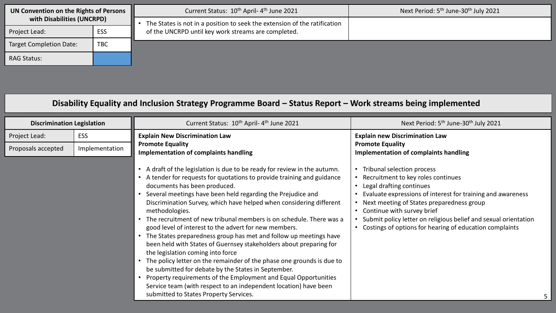| UN Convention on the Rights of Persons<br>with Disabilities (UNCRPD) |            | Current Status: 10 <sup>th</sup> April-4 <sup>th</sup> June 2021          | Next Period: 5 <sup>th</sup> June-30 <sup>th</sup> July 2021 |
|----------------------------------------------------------------------|------------|---------------------------------------------------------------------------|--------------------------------------------------------------|
|                                                                      |            | The States is not in a position to seek the extension of the ratification |                                                              |
| Project Lead:                                                        | ESS        | of the UNCRPD until key work streams are completed.                       |                                                              |
| <b>Target Completion Date:</b>                                       | <b>TBC</b> |                                                                           |                                                              |
| <b>RAG Status:</b>                                                   |            |                                                                           |                                                              |

## **Disability Equality and Inclusion Strategy Programme Board – Status Report – Work streams being implemented**

| <b>Discrimination Legislation</b> |                | Current Status: 10 <sup>th</sup> April-4 <sup>th</sup> June 2021                                                                                                                                                                                                                                                                                                                                                                                                                                                                                                                                                                                                                                                                                                                                                                                                                                                                                                              | Next Period: 5 <sup>th</sup> June-30 <sup>th</sup> July 2021                                                                                                                                                                                                                                                                                                         |
|-----------------------------------|----------------|-------------------------------------------------------------------------------------------------------------------------------------------------------------------------------------------------------------------------------------------------------------------------------------------------------------------------------------------------------------------------------------------------------------------------------------------------------------------------------------------------------------------------------------------------------------------------------------------------------------------------------------------------------------------------------------------------------------------------------------------------------------------------------------------------------------------------------------------------------------------------------------------------------------------------------------------------------------------------------|----------------------------------------------------------------------------------------------------------------------------------------------------------------------------------------------------------------------------------------------------------------------------------------------------------------------------------------------------------------------|
| Project Lead:                     | <b>ESS</b>     | <b>Explain New Discrimination Law</b>                                                                                                                                                                                                                                                                                                                                                                                                                                                                                                                                                                                                                                                                                                                                                                                                                                                                                                                                         | <b>Explain new Discrimination Law</b>                                                                                                                                                                                                                                                                                                                                |
| Proposals accepted                | Implementation | <b>Promote Equality</b><br>Implementation of complaints handling                                                                                                                                                                                                                                                                                                                                                                                                                                                                                                                                                                                                                                                                                                                                                                                                                                                                                                              | <b>Promote Equality</b><br><b>Implementation of complaints handling</b>                                                                                                                                                                                                                                                                                              |
|                                   |                | • A draft of the legislation is due to be ready for review in the autumn.<br>A tender for requests for quotations to provide training and guidance<br>documents has been produced.<br>Several meetings have been held regarding the Prejudice and<br>Discrimination Survey, which have helped when considering different<br>methodologies.<br>The recruitment of new tribunal members is on schedule. There was a<br>good level of interest to the advert for new members.<br>• The States preparedness group has met and follow up meetings have<br>been held with States of Guernsey stakeholders about preparing for<br>the legislation coming into force<br>The policy letter on the remainder of the phase one grounds is due to<br>be submitted for debate by the States in September.<br>Property requirements of the Employment and Equal Opportunities<br>Service team (with respect to an independent location) have been<br>submitted to States Property Services. | Tribunal selection process<br>Recruitment to key roles continues<br>Legal drafting continues<br>Evaluate expressions of interest for training and awareness<br>Next meeting of States preparedness group<br>Continue with survey brief<br>Submit policy letter on religious belief and sexual orientation<br>Costings of options for hearing of education complaints |